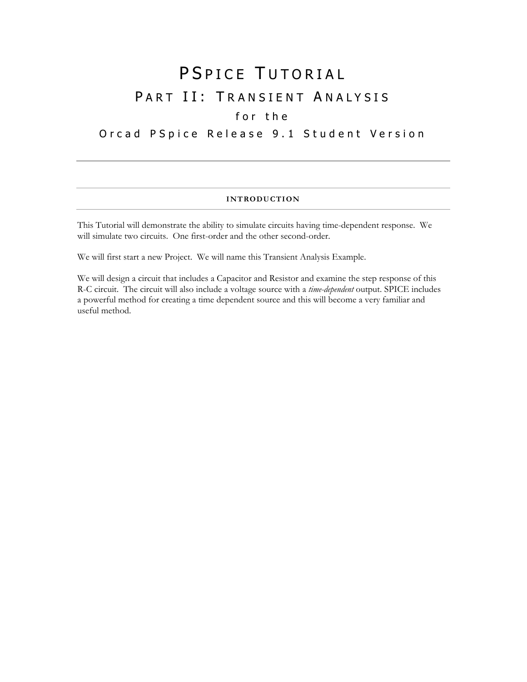# PSPICE TUTORIAL PART II: TRANSIENT ANALYSIS

# for the

# Orcad PSpice Release 9.1 Student Version

## **INTRODUCTION**

This Tutorial will demonstrate the ability to simulate circuits having time-dependent response. We will simulate two circuits. One first-order and the other second-order.

We will first start a new Project. We will name this Transient Analysis Example.

We will design a circuit that includes a Capacitor and Resistor and examine the step response of this R-C circuit. The circuit will also include a voltage source with a *time-dependent* output. SPICE includes a powerful method for creating a time dependent source and this will become a very familiar and useful method.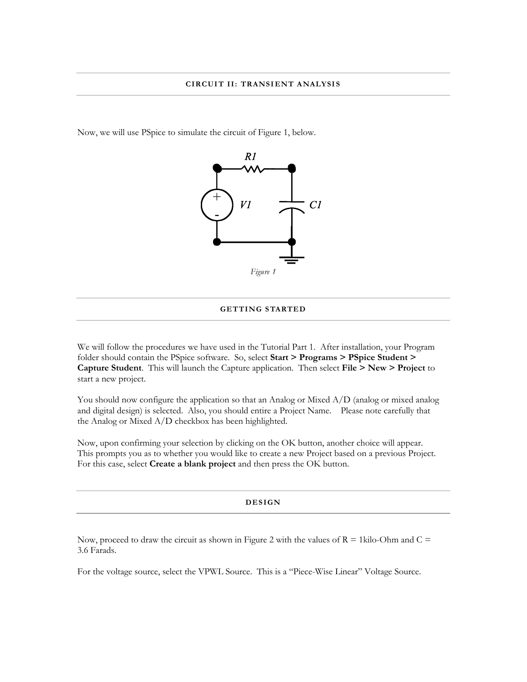Now, we will use PSpice to simulate the circuit of Figure 1, below.



#### **GETTING STARTED**

We will follow the procedures we have used in the Tutorial Part 1. After installation, your Program folder should contain the PSpice software. So, select **Start > Programs > PSpice Student > Capture Student**. This will launch the Capture application. Then select **File > New > Project** to start a new project.

You should now configure the application so that an Analog or Mixed A/D (analog or mixed analog and digital design) is selected. Also, you should entire a Project Name. Please note carefully that the Analog or Mixed A/D checkbox has been highlighted.

Now, upon confirming your selection by clicking on the OK button, another choice will appear. This prompts you as to whether you would like to create a new Project based on a previous Project. For this case, select **Create a blank project** and then press the OK button.

#### **DES IGN**

Now, proceed to draw the circuit as shown in Figure 2 with the values of  $R = 1$ kilo-Ohm and  $C =$ 3.6 Farads.

For the voltage source, select the VPWL Source. This is a "Piece-Wise Linear" Voltage Source.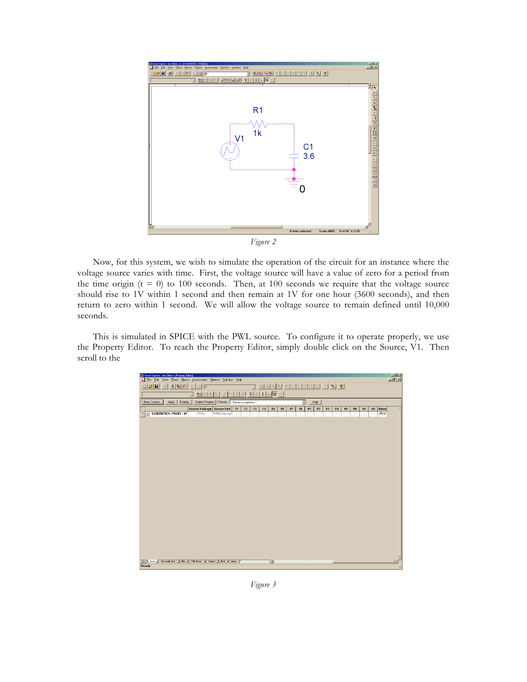

*Figure 2*

Now, for this system, we wish to simulate the operation of the circuit for an instance where the voltage source varies with time. First, the voltage source will have a value of zero for a period from the time origin  $(t = 0)$  to 100 seconds. Then, at 100 seconds we require that the voltage source should rise to 1V within 1 second and then remain at 1V for one hour (3600 seconds), and then return to zero within 1 second. We will allow the voltage source to remain defined until 10,000 seconds.

This is simulated in SPICE with the PWL source. To configure it to operate properly, we use the Property Editor. To reach the Property Editor, simply double click on the Source, V1. Then scroll to the

| Li Oread Capture - Lite Edition - [Property Editor]                                                                           |                            |             |           |    |           |           |                |    |    |                |                |                |    |                |                |    |    |    |             | 国国図            |
|-------------------------------------------------------------------------------------------------------------------------------|----------------------------|-------------|-----------|----|-----------|-----------|----------------|----|----|----------------|----------------|----------------|----|----------------|----------------|----|----|----|-------------|----------------|
| $L2 \times$<br>File Edit View Place Macro Accessories Options Window Help                                                     |                            |             |           |    |           |           |                |    |    |                |                |                |    |                |                |    |    |    |             |                |
| $x$ b $x$<br>$ \mathcal{B} \mathbf{E} $<br>图图 ?<br>G.<br>驱<br>EE<br>Ð<br>$\approx$ $\sqrt{0}$<br>U<br>E                       |                            |             |           |    |           |           |                |    |    |                |                |                |    |                |                |    |    |    |             |                |
| Q<br>$\mathcal{P}$<br>$\mathbf{V}$ $\mathbb{Z}$ $\mathbf{I}$ $\mathbb{L}_{\mathbb{H}}$ $\mathbf{W}$ $\mathbb{W}$<br>to D<br>× |                            |             |           |    |           |           |                |    |    |                |                |                |    |                |                |    |    |    |             |                |
| New Column<br>Display.<br>Delete Property Filter by: < Current properties ><br>F<br>Apply<br>Help                             |                            |             |           |    |           |           |                |    |    |                |                |                |    |                |                |    |    |    |             |                |
|                                                                                                                               | Source Package Source Part |             | <b>T1</b> | T2 | <b>T3</b> | <b>T4</b> | T <sub>5</sub> | T6 | T7 | T <sub>8</sub> | V <sub>1</sub> | V <sub>2</sub> | V3 | V <sub>4</sub> | V <sub>5</sub> | V6 | V7 | V3 | Value       |                |
| F SCHEMATIC1 : PAGE1 : V1<br>1                                                                                                | <b>VPWL</b>                | VPWL.Normal |           |    |           |           |                |    |    |                |                |                |    |                |                |    |    |    | <b>VPML</b> |                |
|                                                                                                                               |                            |             |           |    |           |           |                |    |    |                |                |                |    |                |                |    |    |    |             |                |
|                                                                                                                               |                            |             |           |    |           |           |                |    |    |                |                |                |    |                |                |    |    |    |             |                |
|                                                                                                                               |                            |             |           |    |           |           |                |    |    |                |                |                |    |                |                |    |    |    |             |                |
|                                                                                                                               |                            |             |           |    |           |           |                |    |    |                |                |                |    |                |                |    |    |    |             |                |
|                                                                                                                               |                            |             |           |    |           |           |                |    |    |                |                |                |    |                |                |    |    |    |             |                |
|                                                                                                                               |                            |             |           |    |           |           |                |    |    |                |                |                |    |                |                |    |    |    |             |                |
|                                                                                                                               |                            |             |           |    |           |           |                |    |    |                |                |                |    |                |                |    |    |    |             |                |
|                                                                                                                               |                            |             |           |    |           |           |                |    |    |                |                |                |    |                |                |    |    |    |             |                |
|                                                                                                                               |                            |             |           |    |           |           |                |    |    |                |                |                |    |                |                |    |    |    |             |                |
|                                                                                                                               |                            |             |           |    |           |           |                |    |    |                |                |                |    |                |                |    |    |    |             |                |
|                                                                                                                               |                            |             |           |    |           |           |                |    |    |                |                |                |    |                |                |    |    |    |             |                |
|                                                                                                                               |                            |             |           |    |           |           |                |    |    |                |                |                |    |                |                |    |    |    |             |                |
|                                                                                                                               |                            |             |           |    |           |           |                |    |    |                |                |                |    |                |                |    |    |    |             |                |
|                                                                                                                               |                            |             |           |    |           |           |                |    |    |                |                |                |    |                |                |    |    |    |             |                |
|                                                                                                                               |                            |             |           |    |           |           |                |    |    |                |                |                |    |                |                |    |    |    |             |                |
|                                                                                                                               |                            |             |           |    |           |           |                |    |    |                |                |                |    |                |                |    |    |    |             |                |
|                                                                                                                               |                            |             |           |    |           |           |                |    |    |                |                |                |    |                |                |    |    |    |             |                |
|                                                                                                                               |                            |             |           |    |           |           |                |    |    |                |                |                |    |                |                |    |    |    |             |                |
|                                                                                                                               |                            |             |           |    |           |           |                |    |    |                |                |                |    |                |                |    |    |    |             |                |
|                                                                                                                               |                            |             |           |    |           |           |                |    |    |                |                |                |    |                |                |    |    |    |             |                |
|                                                                                                                               |                            |             |           |    |           |           |                |    |    |                |                |                |    |                |                |    |    |    |             |                |
|                                                                                                                               |                            |             |           |    |           |           |                |    |    |                |                |                |    |                |                |    |    |    |             |                |
|                                                                                                                               |                            |             |           |    |           |           |                |    |    |                |                |                |    |                |                |    |    |    |             |                |
| <b>TELEVERTS A SCHENSIONER A PILE A TRE BOOK A GIKERK A POTE A REGELE /</b>                                                   |                            |             |           |    |           |           | Ħ              |    |    |                |                |                |    |                |                |    |    |    |             | $\blacksquare$ |
| Ready                                                                                                                         |                            |             |           |    |           |           |                |    |    |                |                |                |    |                |                |    |    |    |             |                |
|                                                                                                                               |                            |             |           |    |           |           |                |    |    |                |                |                |    |                |                |    |    |    |             |                |

*Figure 3*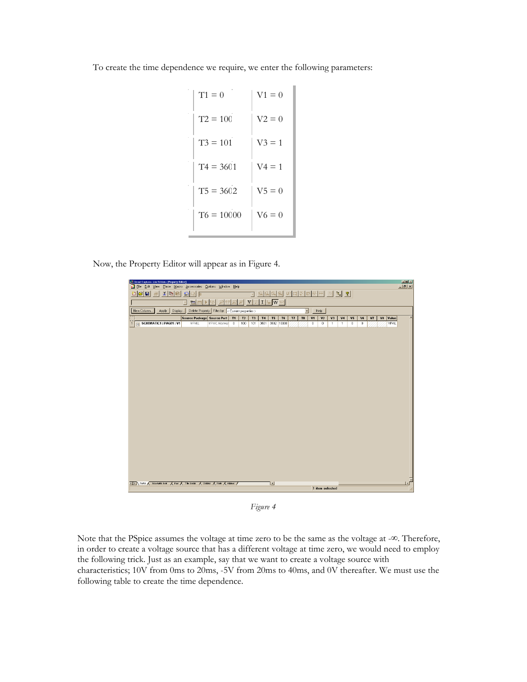To create the time dependence we require, we enter the following parameters:

| $T1 = 0$     | $V1 = 0$  |
|--------------|-----------|
| $T2 = 100$   | $V2 = 0$  |
| $T3 = 101$   | $V_3 = 1$ |
| $T4 = 3601$  | $V4 = 1$  |
| $T5 = 3602$  | $V5 = 0$  |
| $T6 = 10000$ | $V6=0$    |
|              |           |

Now, the Property Editor will appear as in Figure 4.



*Figure 4*

Note that the PSpice assumes the voltage at time zero to be the same as the voltage at -∞. Therefore, in order to create a voltage source that has a different voltage at time zero, we would need to employ the following trick. Just as an example, say that we want to create a voltage source with characteristics; 10V from 0ms to 20ms, -5V from 20ms to 40ms, and 0V thereafter. We must use the following table to create the time dependence.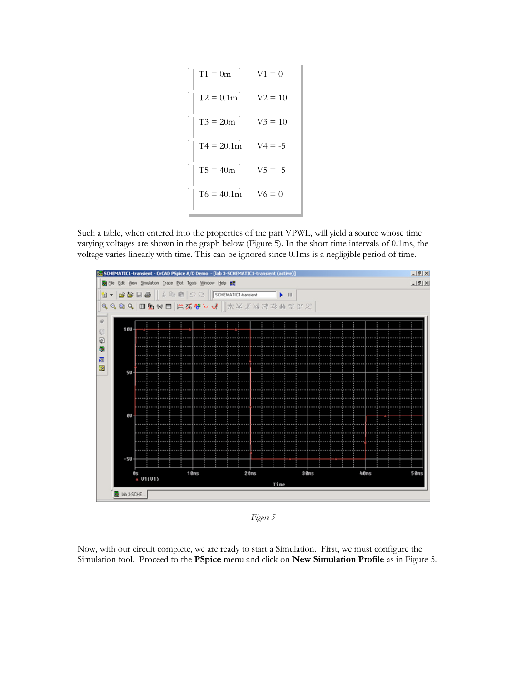| $V1 = 0$  |
|-----------|
| $V2 = 10$ |
| $V3 = 10$ |
| $V4 = -5$ |
| $V5 = -5$ |
| $V6 = 0$  |
|           |

Such a table, when entered into the properties of the part VPWL, will yield a source whose time varying voltages are shown in the graph below (Figure 5). In the short time intervals of 0.1ms, the voltage varies linearly with time. This can be ignored since 0.1ms is a negligible period of time.



*Figure 5*

Now, with our circuit complete, we are ready to start a Simulation. First, we must configure the Simulation tool. Proceed to the **PSpice** menu and click on **New Simulation Profile** as in Figure 5.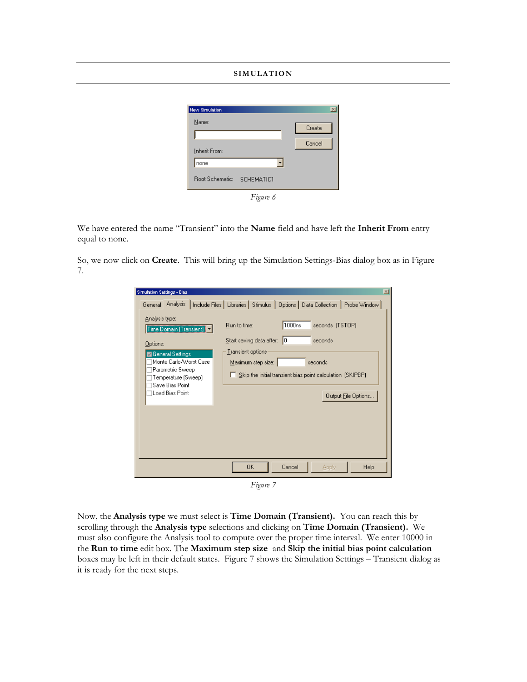### **SIMULATION**



We have entered the name "Transient" into the **Name** field and have left the **Inherit From** entry equal to none.

So, we now click on **Create**. This will bring up the Simulation Settings-Bias dialog box as in Figure 7.

| Simulation Settings - Bias<br>Analysis type:<br>Time Domain (Transient)  <br>Options:<br>General Settings<br>Monte Carlo/Worst Case<br>Parametric Sweep<br>Temperature (Sweep)<br>Save Bias Point<br>Load Bias Point | ⊠<br>General Analysis   Include Files   Libraries   Stimulus   Options   Data Collection   Probe Window  <br>1000ns<br>seconds (TSTOP)<br>Run to time:<br>Start saving data after:<br>10<br>seconds<br><b>Iransient</b> options<br>Maximum step size:<br>seconds<br>Skip the initial transient bias point calculation (SKIPBP)<br>Output File Options |
|----------------------------------------------------------------------------------------------------------------------------------------------------------------------------------------------------------------------|-------------------------------------------------------------------------------------------------------------------------------------------------------------------------------------------------------------------------------------------------------------------------------------------------------------------------------------------------------|
|                                                                                                                                                                                                                      | 0K<br>Cancel<br>Help<br><b>Apply</b>                                                                                                                                                                                                                                                                                                                  |

*Figure 7*

Now, the **Analysis type** we must select is **Time Domain (Transient).** You can reach this by scrolling through the **Analysis type** selections and clicking on **Time Domain (Transient).** We must also configure the Analysis tool to compute over the proper time interval. We enter 10000 in the **Run to time** edit box. The **Maximum step size** and **Skip the initial bias point calculation** boxes may be left in their default states. Figure 7 shows the Simulation Settings – Transient dialog as it is ready for the next steps.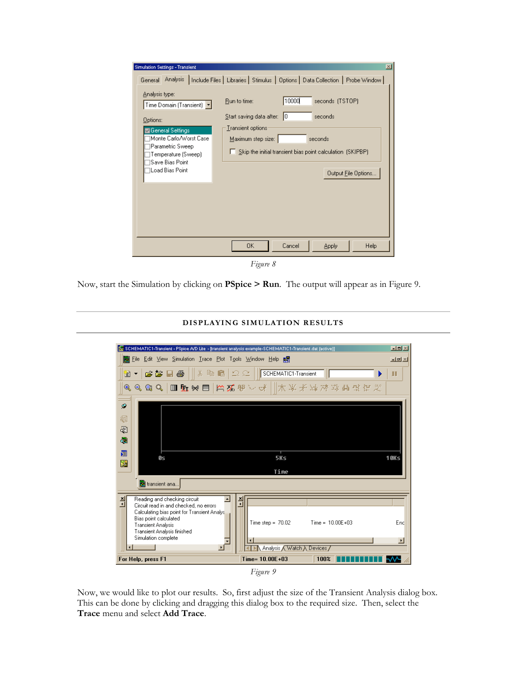| <b>Simulation Settings - Transient</b>                                                                                                                                               | $\vert x \vert$                                                                                                                                                                                                                            |
|--------------------------------------------------------------------------------------------------------------------------------------------------------------------------------------|--------------------------------------------------------------------------------------------------------------------------------------------------------------------------------------------------------------------------------------------|
|                                                                                                                                                                                      | General Analysis   Include Files   Libraries   Stimulus   Options   Data Collection   Probe Window                                                                                                                                         |
| Analysis type:<br>Time Domain (Transient)<br>Options:<br>General Settings<br>Monte Carlo/Worst Case<br>Parametric Sweep<br>Temperature (Sweep)<br>Save Bias Point<br>Load Bias Point | 10000<br>seconds (TSTOP)<br>Run to time:<br>Start saving data after: 0<br>seconds<br><b>Iransient</b> options<br>Maximum step size:<br>seconds<br>$\Box$ Skip the initial transient bias point calculation (SKIPBP)<br>Output File Options |
|                                                                                                                                                                                      | 0K<br>Cancel<br>Help<br><b>Apply</b>                                                                                                                                                                                                       |
|                                                                                                                                                                                      | Figure 8                                                                                                                                                                                                                                   |

Now, start the Simulation by clicking on **PSpice > Run**. The output will appear as in Figure 9.



## **DISPLAYING SIMULATION RESULTS**

Now, we would like to plot our results. So, first adjust the size of the Transient Analysis dialog box. This can be done by clicking and dragging this dialog box to the required size. Then, select the **Trace** menu and select **Add Trace**.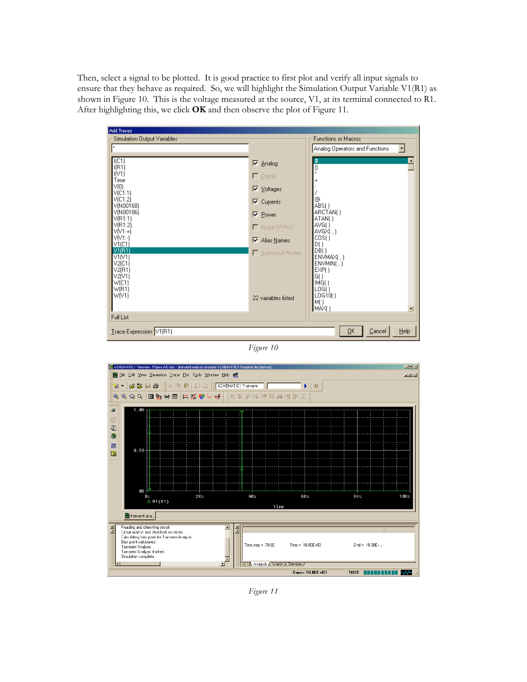Then, select a signal to be plotted. It is good practice to first plot and verify all input signals to ensure that they behave as required. So, we will highlight the Simulation Output Variable V1(R1) as shown in Figure 10. This is the voltage measured at the source, V1, at its terminal connected to R1. After highlighting this, we click **OK** and then observe the plot of Figure 11.

| Add Traces                                 |                                   |                                |
|--------------------------------------------|-----------------------------------|--------------------------------|
| Simulation Output Variables:               |                                   | <b>Functions or Macros</b>     |
| l×.                                        |                                   | Analog Operators and Functions |
|                                            |                                   |                                |
| I(C1)<br>I(R1)                             | <b>▽</b> Analog                   | $\frac{4}{0}$<br>٠             |
| IM1)                                       | $\Box$ Digital                    |                                |
| Time                                       |                                   |                                |
| V(O)                                       | $\nabla$ <i><u>Voltages</u></i>   |                                |
| V <sub>[C1:1]</sub><br>V <sub>[C1:2]</sub> |                                   | ⊚                              |
| V(N00168)                                  | ⊠<br>Currents                     | $ABS($ )                       |
| V(N00186)                                  | <b>⊽</b> Power                    | ARCTAN()                       |
| V(R1:1)<br>V(R1:2)                         |                                   | ATAN()<br>AVG()                |
| $V[V1:+]$                                  | $\Box$ Noise (V <sup>2</sup> /Hz) | AVGX[, ]                       |
| VM:-1                                      | $\nabla$ Alias Names              | COS()                          |
| V1(C1)<br>V1(R1)                           |                                   | D()<br>DB()                    |
| VI(V1)                                     | Subcircuit Nodes                  | ENVMAX(.)                      |
| V2(C1)                                     |                                   | ENVMIN(.)                      |
| V2(B1)                                     |                                   | EXP()                          |
| V2[V1]<br>W(C1)                            |                                   | G()<br>IMG()                   |
| W(R1)                                      |                                   | LOG()                          |
| W(V1)                                      | 22 variables listed               | LOG10()                        |
|                                            |                                   | IME)<br>MAX()<br>٠             |
|                                            |                                   |                                |
| Full List                                  |                                   |                                |
| Trace Expression: V1(R1)                   |                                   | Cancel<br>Help<br>QK           |
|                                            |                                   |                                |

*Figure 10*



*Figure 11*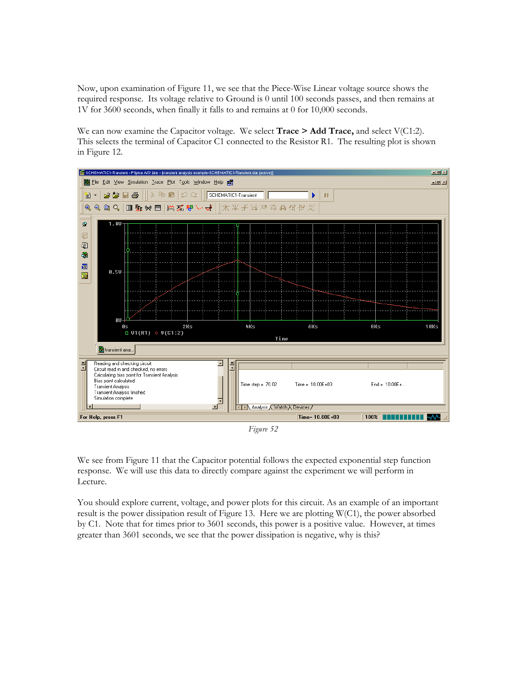Now, upon examination of Figure 11, we see that the Piece-Wise Linear voltage source shows the required response. Its voltage relative to Ground is 0 until 100 seconds passes, and then remains at 1V for 3600 seconds, when finally it falls to and remains at 0 for 10,000 seconds.

We can now examine the Capacitor voltage. We select **Trace > Add Trace**, and select V(C1:2). This selects the terminal of Capacitor C1 connected to the Resistor R1. The resulting plot is shown in Figure 12.



*Figure 52*

We see from Figure 11 that the Capacitor potential follows the expected exponential step function response. We will use this data to directly compare against the experiment we will perform in Lecture.

You should explore current, voltage, and power plots for this circuit. As an example of an important result is the power dissipation result of Figure 13. Here we are plotting  $W(C1)$ , the power absorbed by C1. Note that for times prior to 3601 seconds, this power is a positive value. However, at times greater than 3601 seconds, we see that the power dissipation is negative, why is this?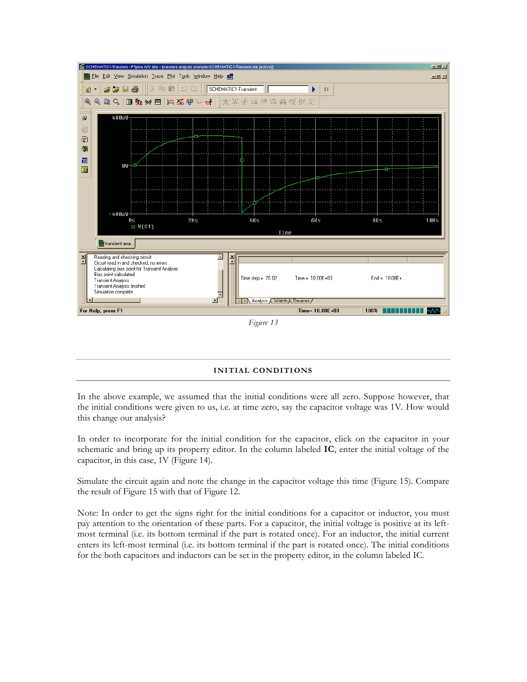

#### *Figure 13*

#### **INITIAL CONDITIONS**

In the above example, we assumed that the initial conditions were all zero. Suppose however, that the initial conditions were given to us, i.e. at time zero, say the capacitor voltage was 1V. How would this change our analysis?

In order to incorporate for the initial condition for the capacitor, click on the capacitor in your schematic and bring up its property editor. In the column labeled **IC**, enter the initial voltage of the capacitor, in this case, 1V (Figure 14).

Simulate the circuit again and note the change in the capacitor voltage this time (Figure 15). Compare the result of Figure 15 with that of Figure 12.

Note: In order to get the signs right for the initial conditions for a capacitor or inductor, you must pay attention to the orientation of these parts. For a capacitor, the initial voltage is positive at its leftmost terminal (i.e. its bottom terminal if the part is rotated once). For an inductor, the initial current enters its left-most terminal (i.e. its bottom terminal if the part is rotated once). The initial conditions for the both capacitors and inductors can be set in the property editor, in the column labeled IC.